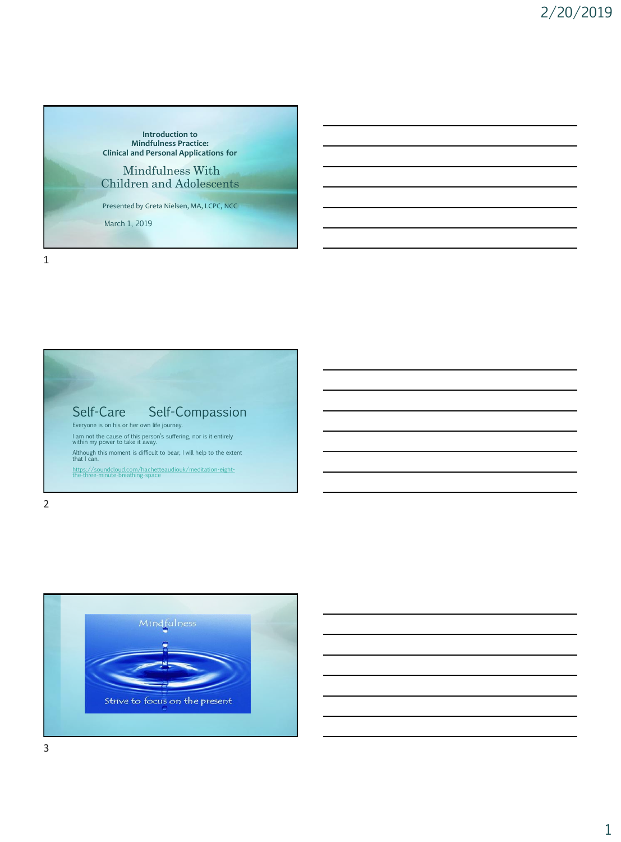



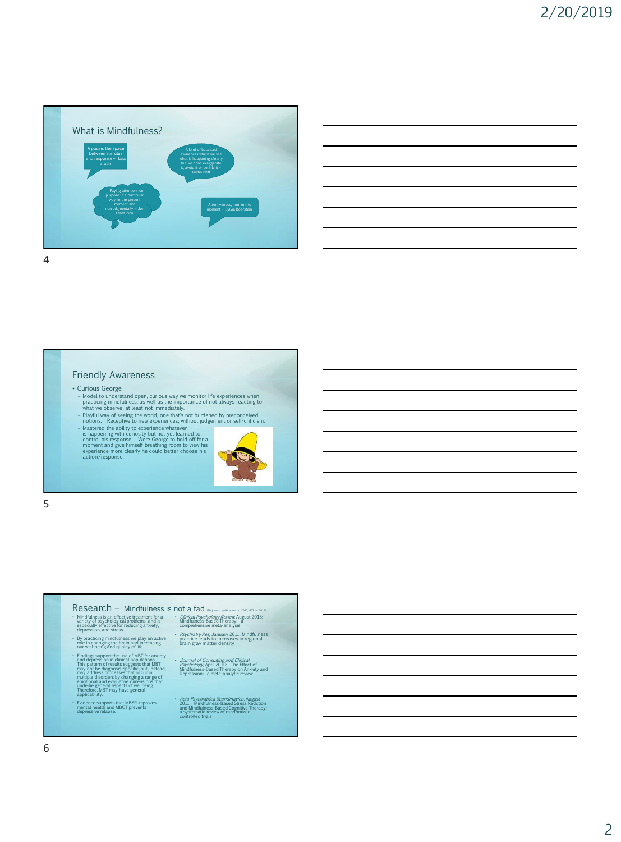



### Friendly Awareness

## • Curious George

- Model to understand open, curious way we monitor life experiences when practicing mindfulness, as well as the importance of not always reacting to what we observe; at least not immediately.
- 
- Playful way of seeing the world, one that's not burdened by preconceived<br>notions. Receptive to new experiences; without judgement or self-criticism.<br>Thatered the ability to experience whatever<br>is happening with curiosity
- 



5

### $Research - Mindfulness$  is not a fad  $100$  journal publications in 2016) and  $100$  journal publications in 2016, 667 in 2016) and 2016.

- Mindfulness is an effective treatment for a variety of psychological problems, and is especially effective for reducing anxiety, depression, and stress
- By practicing mindfulness we play an active role in changing the brain and increasing our well-being and quality of life.
- Findings support the use of MBT for anxiety<br>and depression in clinical populations.<br>This pattern of results suggests that MBT<br>may not be diagnosis-specific, but, instead,<br>may address processes that occur in<br>multiple disord
- Evidence supports that MBSR improves mental health and MBCT prevents depressive relapse.
- *Clinical Psychology Review,* August 2013:<br>Mindfulness-Based Therapy: a<br>comprehensive meta-analysis
	- Psychiatry Res, January 2011: Mindfulness practice leads to increases in regional brain gray matter density

• *Journal of Consulting and Clinical*<br>Psychology, April 2010: The Effect of<br>Mindfulness-Based Therapy on Anxiety and<br>Depression: a meta-analytic review

• Acta Psychiatrica Scandinavica, August<br>2011: Mindfulness-Based Stress Redction<br>and Mindfulness-Based Cognitive Therapy:<br>a systematic review of randomized<br>controlled trials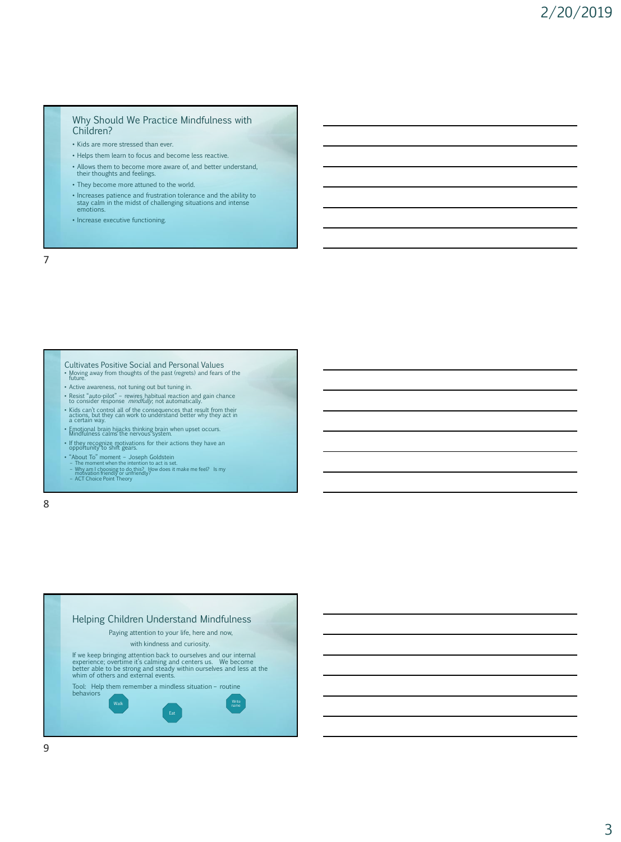### Why Should We Practice Mindfulness with Children?

- Kids are more stressed than ever.
- Helps them learn to focus and become less reactive.
- Allows them to become more aware of, and better understand, their thoughts and feelings.
- They become more attuned to the world.
- Increases patience and frustration tolerance and the ability to stay calm in the midst of challenging situations and intense emotions.
- Increase executive functioning.

7

Cultivates Positive Social and Personal Values • Moving away from thoughts of the past (regrets) and fears of the future. • Active awareness, not tuning out but tuning in. • Resist "auto-pilot" – rewires habitual reaction and gain chance<br>to consider response *mindfully*; not automatically.

- Kids can't control all of the consequences that result from their actions, but they can work to understand better why they act in a certain way.
- Emotional brain hijacks thinking brain when upset occurs. Mindfulness calms the nervous system.
- If they recognize motivations for their actions they have an opportunity to shift gears.
- 
- "About To" moment Joseph Goldstein<br>– The moment when the intention to act is set.<br>– Why am I choosing to do this? How does it make me feel? Is my<br>motivation friendly? or unfriendly?<br>– ACT Choice Point Theory
- 
- 

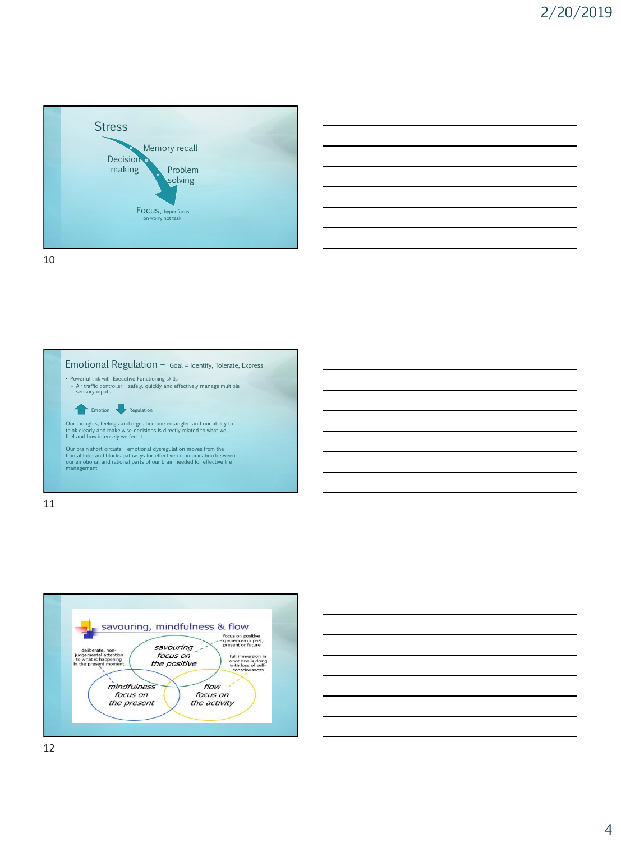







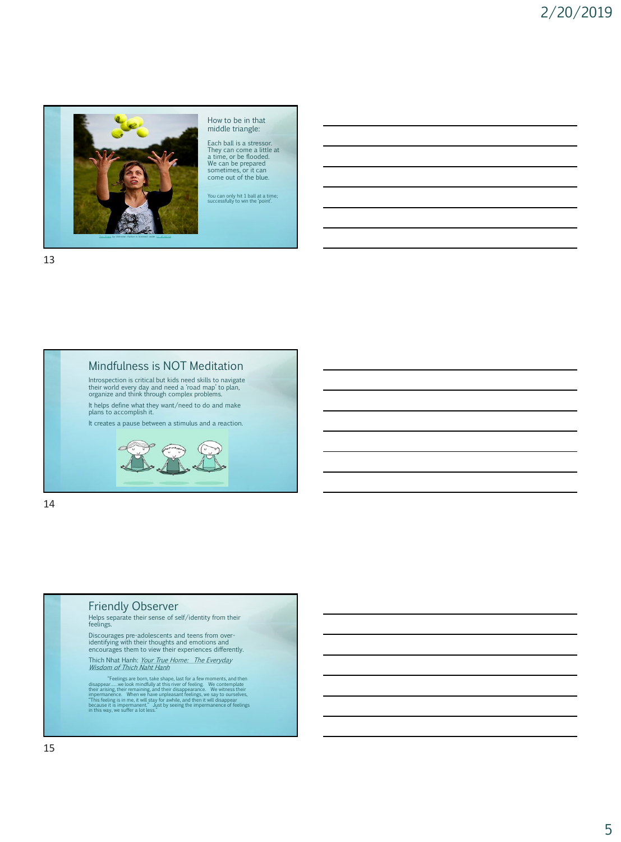

How to be in that middle triangle:

Each ball is a stressor. They can come a little at a time, or be flooded. We can be prepared sometimes, or it can come out of the blue.

You can only hit 1 ball at a time; successfully to win the 'point'.

13

# Mindfulness is NOT Meditation

Introspection is critical but kids need skills to navigate their world every day and need a 'road map' to plan, organize and think through complex problems. It helps define what they want/need to do and make plans to accomplish it.

It creates a pause between a stimulus and a reaction.



14

## Friendly Observer

Helps separate their sense of self/identity from their feelings.

Discourages pre-adolescents and teens from over-identifying with their thoughts and emotions and encourages them to view their experiences differently.

Thich Nhat Hanh: *Your True Home: The Everyday*<br>*Wisdom of Thich Naht Hanh* 

"Feelings are born, take shape, last for a few moments, and then<br>disappear.......we look mindfully at this river of feeling. We contemplate<br>their arising, their remaining, and their disappearance. We witness their<br>imperman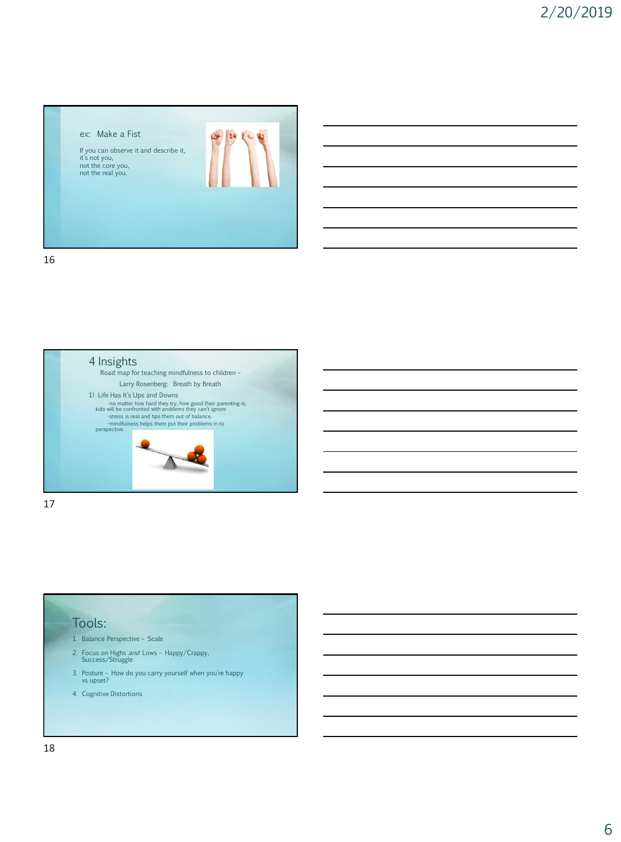



17

# Tools:

- 1. Balance Perspective Scale
- 2. Focus on Highs *and* Lows Happy/Crappy, Success/Struggle
- 3. Posture How do you carry yourself when you're happy vs upset?
- 4. Cognitive Distortions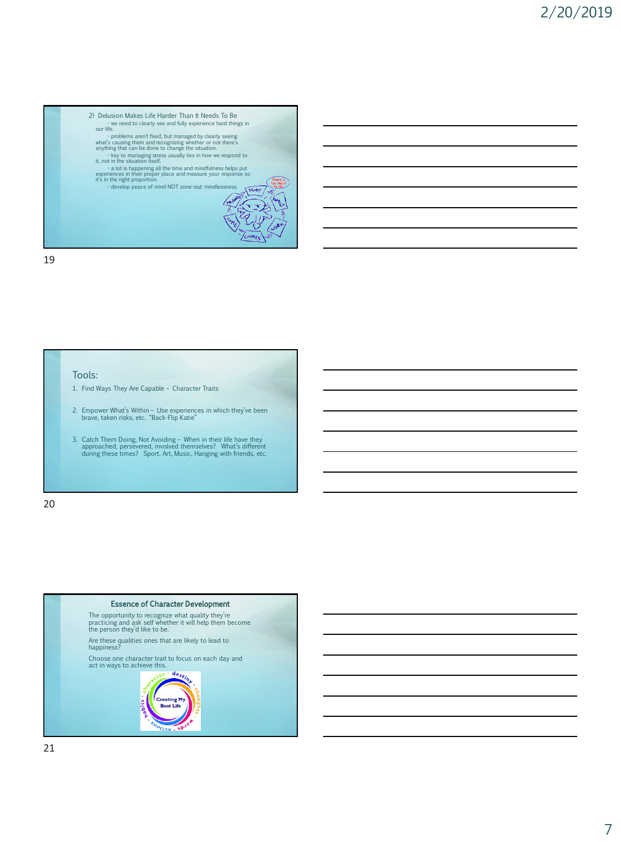

## Tools:

- 1. Find Ways They Are Capable Character Traits
- 2. Empower What's Within Use experiences in which they've been brave, taken risks, etc. "Back-Flip Katie"
- 3. Catch Them Doing, Not Avoiding When in their life have they approached, persevered, involved themselves? What's different during these times? Sport, Art, Music, Hanging with friends, etc.

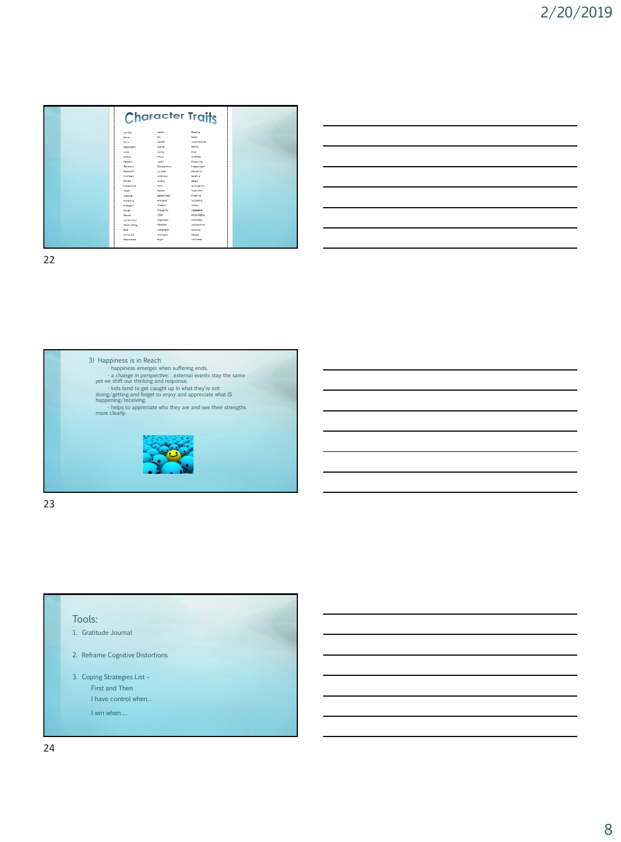|                    |                  | <b>Character Traits</b> |
|--------------------|------------------|-------------------------|
| Humble             | Height           | Decisive                |
| <b>Brough</b>      | SIV.             | toper                   |
| <b>Buretty</b>     | Logidan          | Accomplated             |
| Resourceful        | Germa            | Formul                  |
| Loygi              | Loying           | <b>Kind</b>             |
| Comn               | Proud            | Corphras                |
| Fleggant           | Joyful.          | Productive              |
| Generous           | Cocoerofive      | Independent             |
| Reporter           | Loyable          | Recentive               |
| Contident          | AMBROUG          | <b>Senative</b>         |
| <b>Tringra</b>     | Cutous           | <b>Modey</b>            |
| <b>Impoinative</b> | Why.             | Considerate             |
| Tough              | <b>Rohner</b>    | Trustworthy             |
| Creative           | Determined       | Inventive               |
| Protective         | <b>Drespetic</b> | Accepting               |
| Intelligent        | Cheerful         | willing                 |
| <b>Honest</b>      | Thoughtful       | Addedicio               |
| <b>Risnay</b>      | Com.             | <b>Briddynamico</b>     |
| Advertureus        | Organized        | Admirable               |
| Hard-working       | Paralahann       | Accreciative            |
| told               | Adoptoble        | Genuine                 |
| Run-louten         | Wordens          | <b>Paulois</b>          |
| Repnanciolo        | <b>MONT</b>      | Motivened               |
|                    |                  |                         |



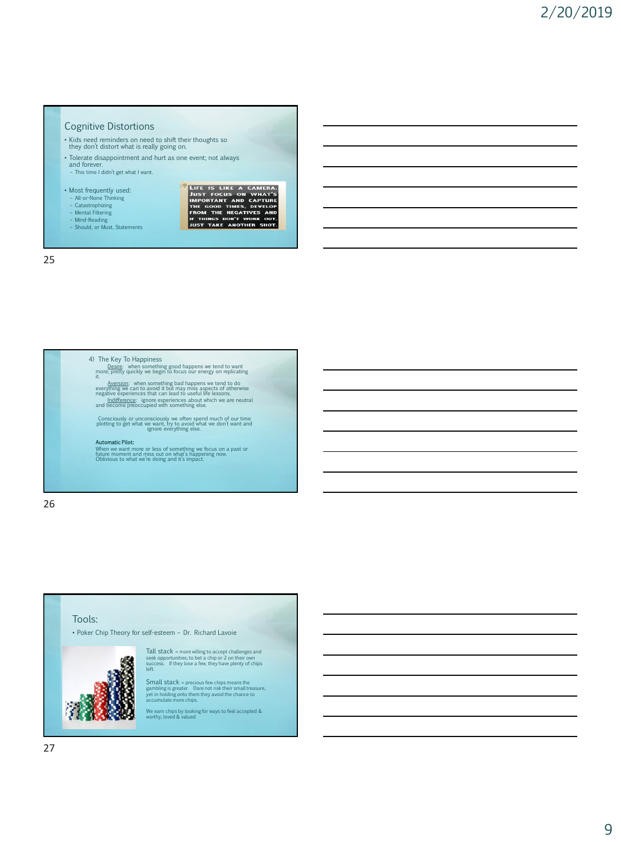# Cognitive Distortions

- Kids need reminders on need to shift their thoughts so they don't distort what is really going on.
- 
- Tolerate disappointment and hurt as one event; not always
- and forever. – This time I didn't get what I want.
- 

– Mental Filtering – Mind-Reading – Should, or Must, Statements

- Most frequently used:
- All-or-None Thinking Catastrophizing
- LIFE IS LIKE A CAMERA.<br>JUST FOCUS ON WHAT'S<br>IMPONTANT AND CAFTURE<br>THE GOOD TIMES, DEVELOP<br>FROM THE REGATIVES AND<br>IF THINGS DON'T WORK OUT,<br>JUST TAKE ANOTHER SHOT.

25

4) The Key To Happiness Desire: when something good happens we tend to want more; pretty quickly we begin to focus our energy on replicating it.

Aversion: when something bad happens we tend to do<br>everything we can to avoid it but may miss aspects of otherwise<br>negative experiences that can lead to useful life lessons.<br>Indifference: ignore experiences about which we

Consciously or unconsciously we often spend much of our time plotting to get what we want, try to avoid what we don't want and ignore everything else.

**Automatic Pilot:**<br>When we want more or less of something we focus on a past or<br>future moment and miss out on what's happening now.<br>Oblivious to what we're doing and it's impact.

26

# Tools:

• Poker Chip Theory for self-esteem – Dr. Richard Lavoie



Tall stack = more willing to accept challenges and seek opportunities; to bet a chip or 2 on their own success. If they lose a few, they have plenty of chips left.

Small stack = precious few chips means the gambling is greater. Dare not risk their small treasure, yet in holding onto them they avoid the chance to accumulate more chips.

We earn chips by looking for ways to feel accepted & worthy, loved & valued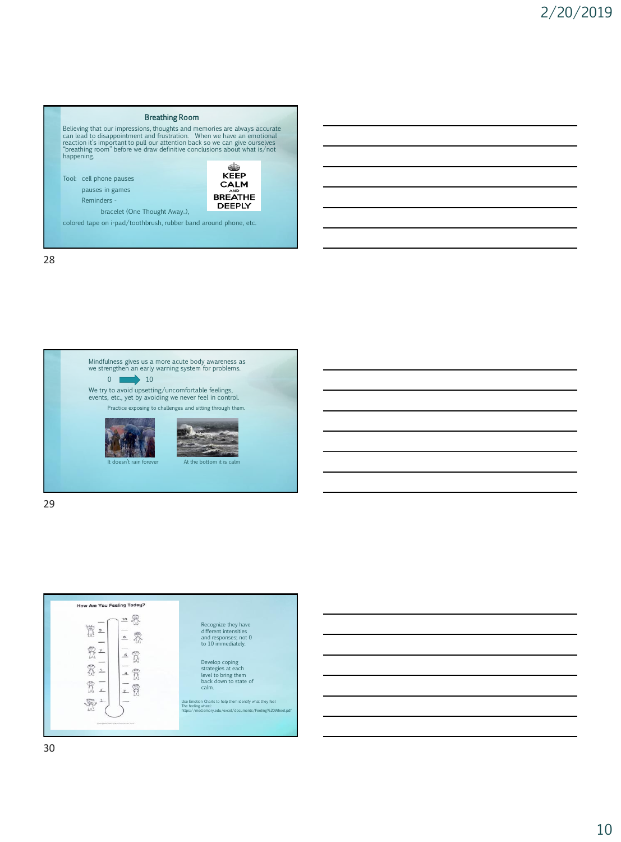



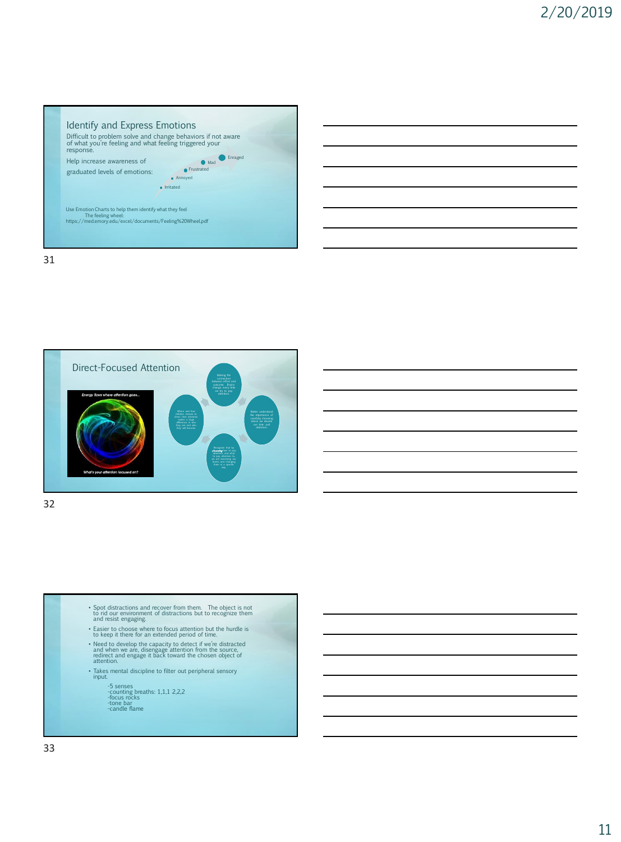



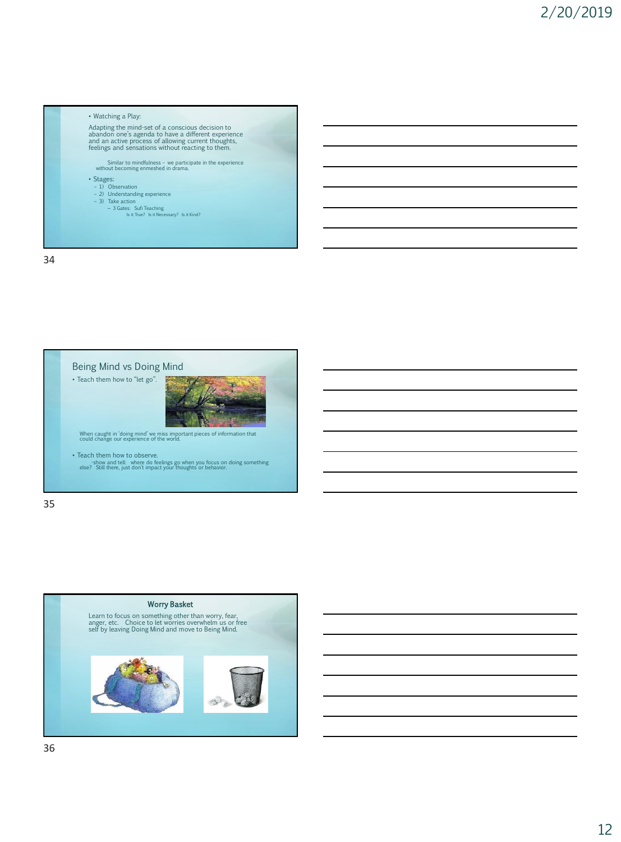



35

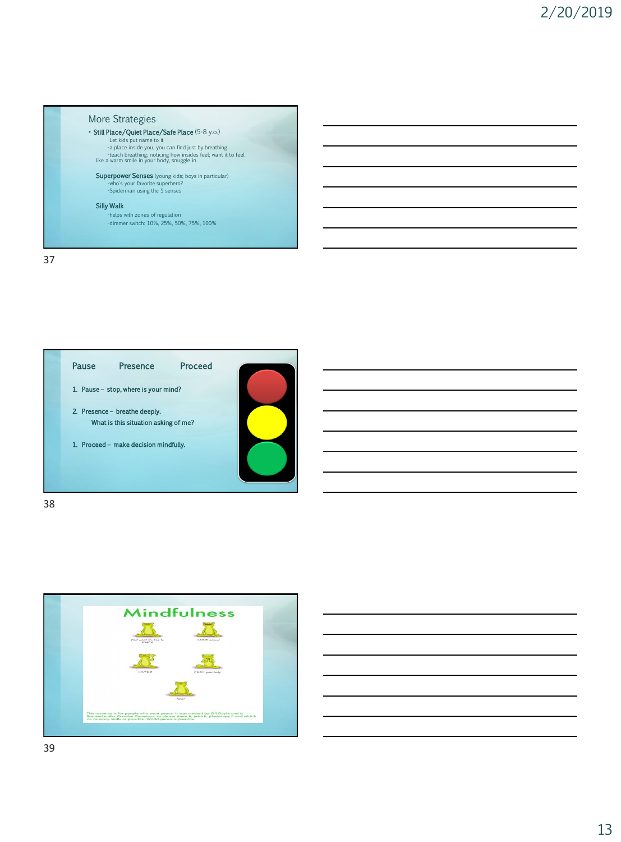



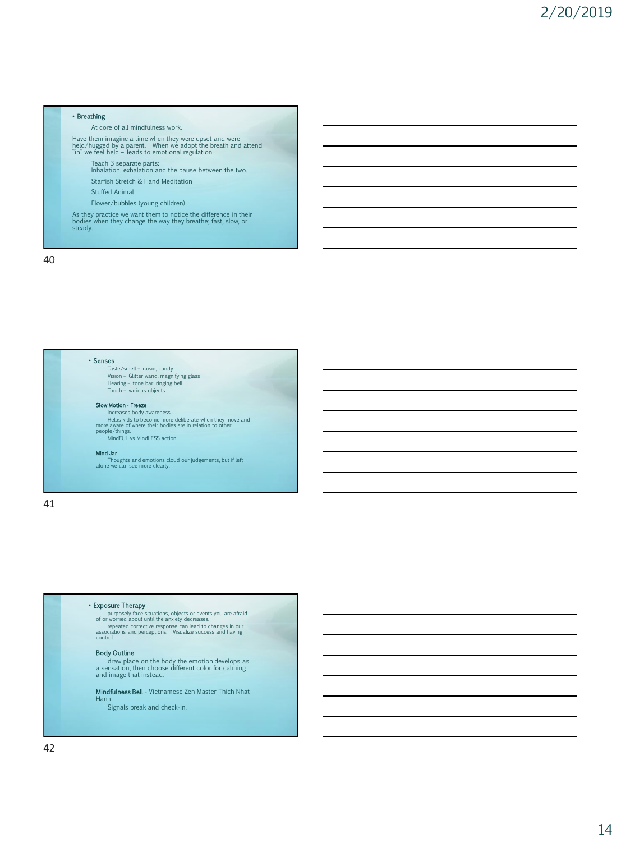### • Breathing

At core of all mindfulness work.

Have them imagine a time when they were upset and were<br>held/hugged by a parent. When we adopt the breath and attend<br>"in" we feel held – leads to emotional regulation.

Teach 3 separate parts: Inhalation, exhalation and the pause between the two.

Starfish Stretch & Hand Meditation

Stuffed Animal

Flower/bubbles (young children)

As they practice we want them to notice the difference in their bodies when they change the way they breathe; fast, slow, or steady.

40



### • Exposure Therapy

purposely face situations, objects or events you are afraid<br>of or worried about until the anxiety decreases.<br>repeated corrective response can lead to changes in our<br>associations and perceptions. Visualize success and havin control.

### Body Outline

draw place on the body the emotion develops as a sensation, then choose different color for calming and image that instead.

Mindfulness Bell - Vietnamese Zen Master Thich Nhat Hanh

Signals break and check-in.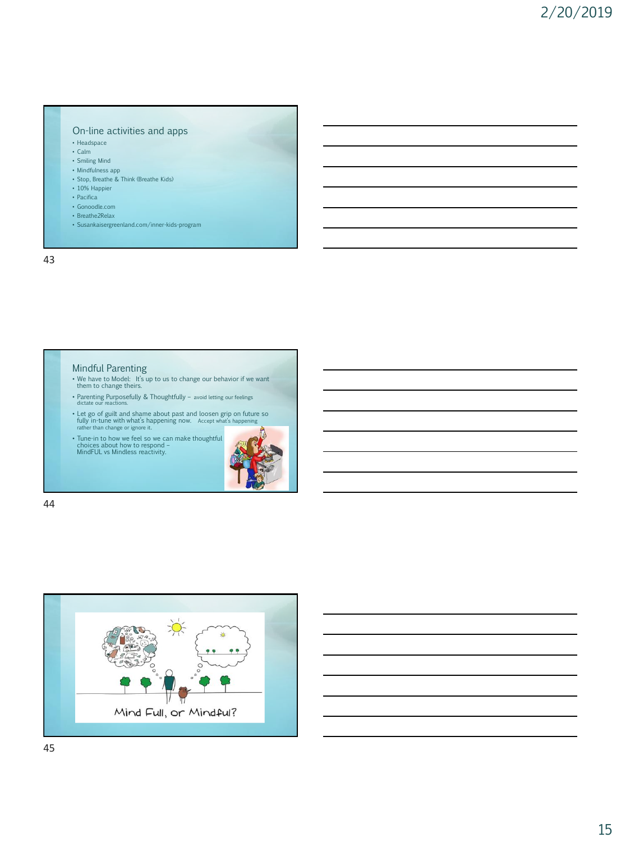### On-line activities and apps

- Headspace
- Calm
- Smiling Mind
- Mindfulness app
- Stop, Breathe & Think (Breathe Kids)
- 10% Happier
- Pacifica
- Gonoodle.com
- Breathe2Relax
- Susankaisergreenland.com/inner-kids-program

43

## Mindful Parenting

- We have to Model: It's up to us to change our behavior if we want them to change theirs.
- Parenting Purposefully & Thoughtfully avoid letting our feelings dictate our reactions.
- Let go of guilt and shame about past and loosen grip on future so<br>fully in-tune with what's happening now. Accept what's happening<br>rather than change or ignore it.
- Tune-in to how we feel so we can make thoughtful choices about how to respond MindFUL vs Mindless reactivity.



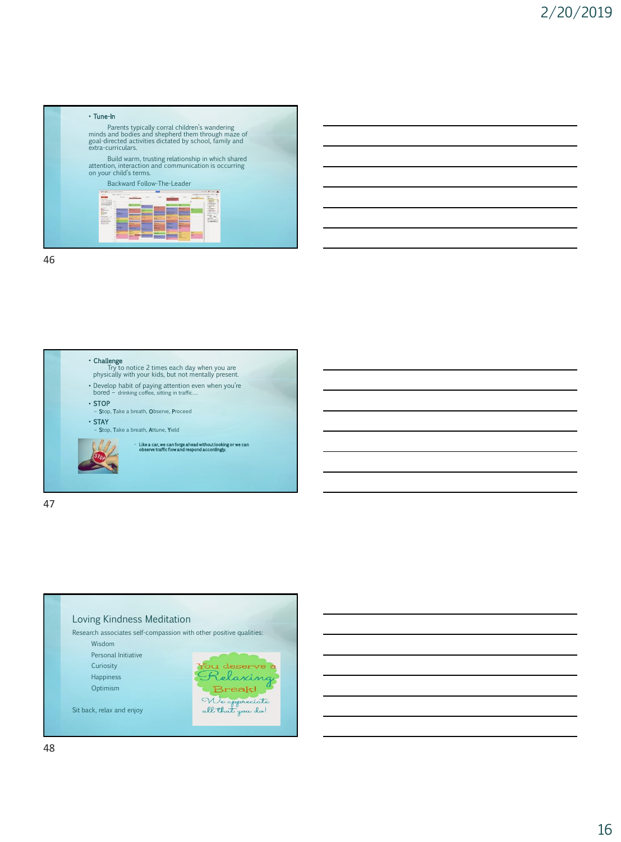